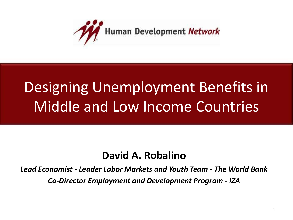

## Designing Unemployment Benefits in Middle and Low Income Countries

#### **David A. Robalino**

*Lead Economist - Leader Labor Markets and Youth Team - The World Bank Co-Director Employment and Development Program - IZA*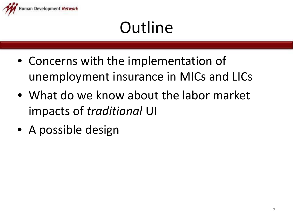

# **Outline**

- Concerns with the implementation of unemployment insurance in MICs and LICs
- What do we know about the labor market impacts of *traditional* UI
- A possible design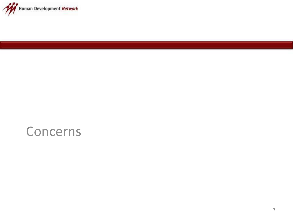

#### Concerns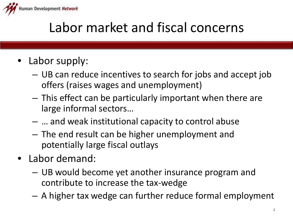

## Labor market and fiscal concerns

- Labor supply:
	- UB can reduce incentives to search for jobs and accept job offers (raises wages and unemployment)
	- This effect can be particularly important when there are large informal sectors…
	- … and weak institutional capacity to control abuse
	- The end result can be higher unemployment and potentially large fiscal outlays
- Labor demand:
	- UB would become yet another insurance program and contribute to increase the tax-wedge
	- A higher tax wedge can further reduce formal employment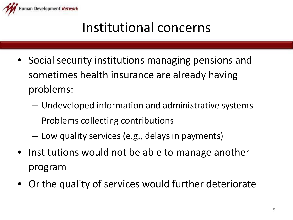

## Institutional concerns

- Social security institutions managing pensions and sometimes health insurance are already having problems:
	- Undeveloped information and administrative systems
	- Problems collecting contributions
	- Low quality services (e.g., delays in payments)
- Institutions would not be able to manage another program
- Or the quality of services would further deteriorate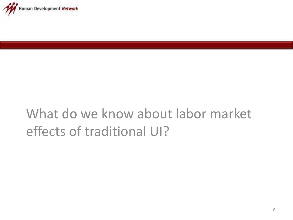

## What do we know about labor market effects of traditional UI?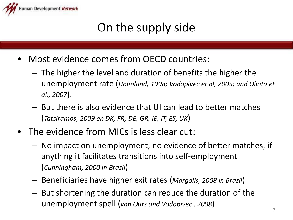

### On the supply side

- Most evidence comes from OECD countries:
	- The higher the level and duration of benefits the higher the unemployment rate (*Holmlund, 1998; Vodopivec et al, 2005; and Olinto et al., 2007*).
	- But there is also evidence that UI can lead to better matches (*Tatsiramos, 2009 en DK, FR, DE, GR, IE, IT, ES, UK*)
- The evidence from MICs is less clear cut:
	- No impact on unemployment, no evidence of better matches, if anything it facilitates transitions into self-employment (*Cunningham, 2000 in Brazil*)
	- Beneficiaries have higher exit rates (*Margolis, 2008 in Brazil*)
	- But shortening the duration can reduce the duration of the unemployment spell (*van Ours and Vodopivec , 2008*)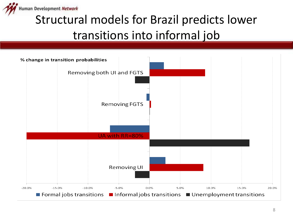

### Structural models for Brazil predicts lower transitions into informal job

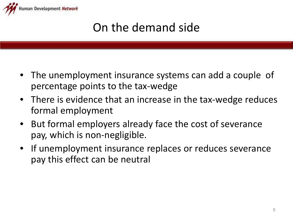

### On the demand side

- The unemployment insurance systems can add a couple of percentage points to the tax-wedge
- There is evidence that an increase in the tax-wedge reduces formal employment
- But formal employers already face the cost of severance pay, which is non-negligible.
- If unemployment insurance replaces or reduces severance pay this effect can be neutral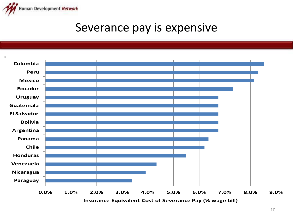

#### Severance pay is expensive



**Insurance Equivalent Cost of Severance Pay (% wage bill)**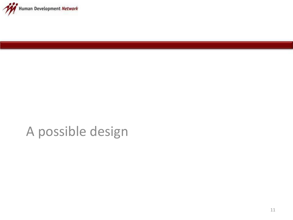

## A possible design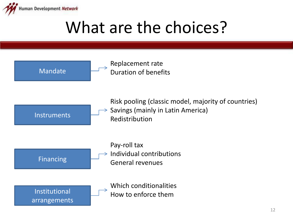

## What are the choices?

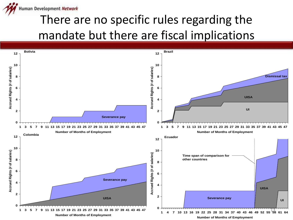

## There are no specific rules regarding the mandate but there are fiscal implications

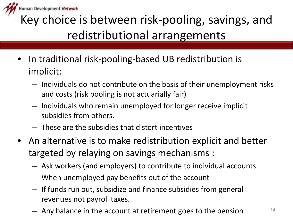

## Key choice is between risk-pooling, savings, and redistributional arrangements

- In traditional risk-pooling-based UB redistribution is implicit:
	- Individuals do not contribute on the basis of their unemployment risks and costs (risk pooling is not actuarially fair)
	- Individuals who remain unemployed for longer receive implicit subsidies from others.
	- These are the subsidies that distort incentives
- An alternative is to make redistribution explicit and better targeted by relaying on savings mechanisms :
	- Ask workers (and employers) to contribute to individual accounts
	- When unemployed pay benefits out of the account
	- If funds run out, subsidize and finance subsidies from general revenues not payroll taxes.
	- Any balance in the account at retirement goes to the pension  $14$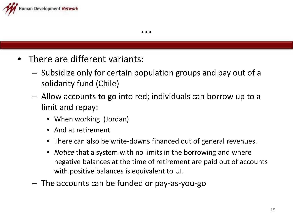

- There are different variants:
	- Subsidize only for certain population groups and pay out of a solidarity fund (Chile)
	- Allow accounts to go into red; individuals can borrow up to a limit and repay:
		- When working (Jordan)
		- And at retirement
		- There can also be write-downs financed out of general revenues.
		- *Notice* that a system with no limits in the borrowing and where negative balances at the time of retirement are paid out of accounts with positive balances is equivalent to UI.
	- The accounts can be funded or pay-as-you-go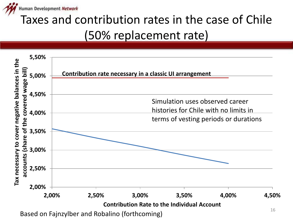

## Taxes and contribution rates in the case of Chile (50% replacement rate)

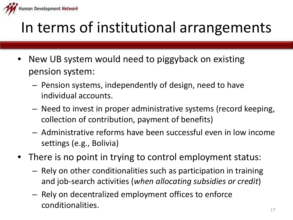

## In terms of institutional arrangements

- New UB system would need to piggyback on existing pension system:
	- Pension systems, independently of design, need to have individual accounts.
	- Need to invest in proper administrative systems (record keeping, collection of contribution, payment of benefits)
	- Administrative reforms have been successful even in low income settings (e.g., Bolivia)
- There is no point in trying to control employment status:
	- Rely on other conditionalities such as participation in training and job-search activities (*when allocating subsidies or credit*)
	- Rely on decentralized employment offices to enforce conditionalities.